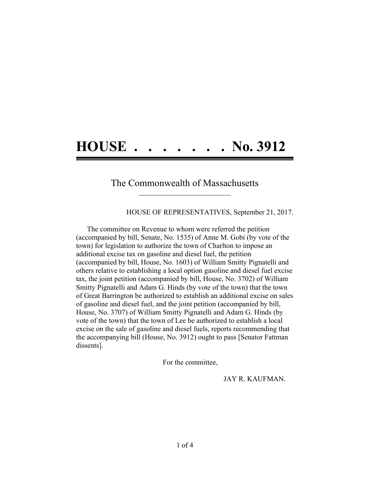## **HOUSE . . . . . . . No. 3912**

## The Commonwealth of Massachusetts **\_\_\_\_\_\_\_\_\_\_\_\_\_\_\_\_\_\_\_\_\_\_\_\_\_\_\_\_\_\_\_\_\_\_\_\_\_\_**

HOUSE OF REPRESENTATIVES, September 21, 2017.

The committee on Revenue to whom were referred the petition (accompanied by bill, Senate, No. 1535) of Anne M. Gobi (by vote of the town) for legislation to authorize the town of Charlton to impose an additional excise tax on gasoline and diesel fuel, the petition (accompanied by bill, House, No. 1603) of William Smitty Pignatelli and others relative to establishing a local option gasoline and diesel fuel excise tax, the joint petition (accompanied by bill, House, No. 3702) of William Smitty Pignatelli and Adam G. Hinds (by vote of the town) that the town of Great Barrington be authorized to establish an additional excise on sales of gasoline and diesel fuel, and the joint petition (accompanied by bill, House, No. 3707) of William Smitty Pignatelli and Adam G. Hinds (by vote of the town) that the town of Lee be authorized to establish a local excise on the sale of gasoline and diesel fuels, reports recommending that the accompanying bill (House, No. 3912) ought to pass [Senator Fattman dissents].

For the committee,

JAY R. KAUFMAN.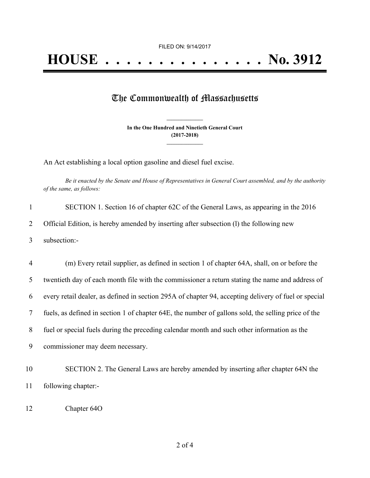## The Commonwealth of Massachusetts

**In the One Hundred and Ninetieth General Court (2017-2018) \_\_\_\_\_\_\_\_\_\_\_\_\_\_\_**

**\_\_\_\_\_\_\_\_\_\_\_\_\_\_\_**

An Act establishing a local option gasoline and diesel fuel excise.

Be it enacted by the Senate and House of Representatives in General Court assembled, and by the authority *of the same, as follows:*

| SECTION 1. Section 16 of chapter 62C of the General Laws, as appearing in the 2016      |
|-----------------------------------------------------------------------------------------|
| Official Edition, is hereby amended by inserting after subsection (1) the following new |
| subsection:-                                                                            |

 (m) Every retail supplier, as defined in section 1 of chapter 64A, shall, on or before the twentieth day of each month file with the commissioner a return stating the name and address of every retail dealer, as defined in section 295A of chapter 94, accepting delivery of fuel or special fuels, as defined in section 1 of chapter 64E, the number of gallons sold, the selling price of the fuel or special fuels during the preceding calendar month and such other information as the commissioner may deem necessary.

10 SECTION 2. The General Laws are hereby amended by inserting after chapter 64N the 11 following chapter:-

12 Chapter 64O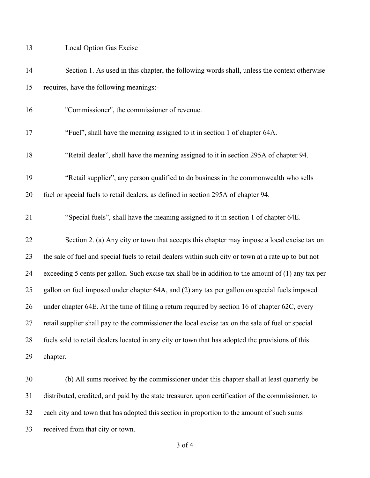Local Option Gas Excise

| 14 | Section 1. As used in this chapter, the following words shall, unless the context otherwise           |
|----|-------------------------------------------------------------------------------------------------------|
| 15 | requires, have the following meanings:-                                                               |
| 16 | "Commissioner", the commissioner of revenue.                                                          |
| 17 | "Fuel", shall have the meaning assigned to it in section 1 of chapter 64A.                            |
| 18 | "Retail dealer", shall have the meaning assigned to it in section 295A of chapter 94.                 |
| 19 | "Retail supplier", any person qualified to do business in the commonwealth who sells                  |
| 20 | fuel or special fuels to retail dealers, as defined in section 295A of chapter 94.                    |
| 21 | "Special fuels", shall have the meaning assigned to it in section 1 of chapter 64E.                   |
| 22 | Section 2. (a) Any city or town that accepts this chapter may impose a local excise tax on            |
| 23 | the sale of fuel and special fuels to retail dealers within such city or town at a rate up to but not |
| 24 | exceeding 5 cents per gallon. Such excise tax shall be in addition to the amount of $(1)$ any tax per |
| 25 | gallon on fuel imposed under chapter 64A, and (2) any tax per gallon on special fuels imposed         |
| 26 | under chapter 64E. At the time of filing a return required by section 16 of chapter 62C, every        |
| 27 | retail supplier shall pay to the commissioner the local excise tax on the sale of fuel or special     |
| 28 | fuels sold to retail dealers located in any city or town that has adopted the provisions of this      |
| 29 | chapter.                                                                                              |
| 30 | (b) All sums received by the commissioner under this chapter shall at least quarterly be              |

each city and town that has adopted this section in proportion to the amount of such sums

distributed, credited, and paid by the state treasurer, upon certification of the commissioner, to

received from that city or town.